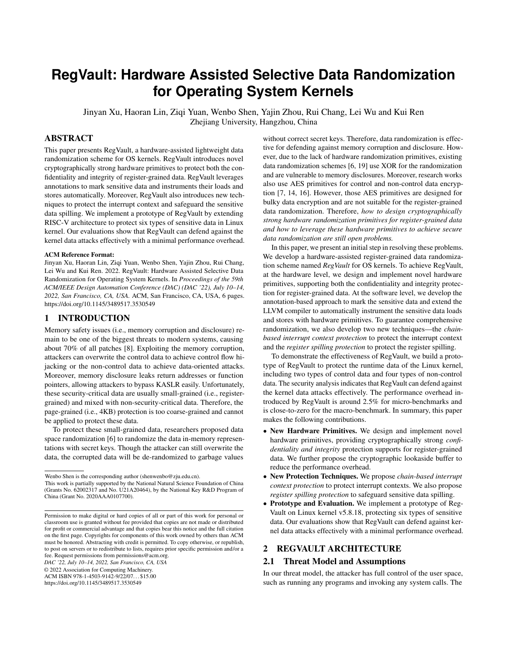# **RegVault: Hardware Assisted Selective Data Randomization for Operating System Kernels**

Jinyan Xu, Haoran Lin, Ziqi Yuan, Wenbo Shen, Yajin Zhou, Rui Chang, Lei Wu and Kui Ren Zhejiang University, Hangzhou, China

# ABSTRACT

This paper presents RegVault, a hardware-assisted lightweight data randomization scheme for OS kernels. RegVault introduces novel cryptographically strong hardware primitives to protect both the confidentiality and integrity of register-grained data. RegVault leverages annotations to mark sensitive data and instruments their loads and stores automatically. Moreover, RegVault also introduces new techniques to protect the interrupt context and safeguard the sensitive data spilling. We implement a prototype of RegVault by extending RISC-V architecture to protect six types of sensitive data in Linux kernel. Our evaluations show that RegVault can defend against the kernel data attacks effectively with a minimal performance overhead.

#### ACM Reference Format:

Jinyan Xu, Haoran Lin, Ziqi Yuan, Wenbo Shen, Yajin Zhou, Rui Chang, Lei Wu and Kui Ren. 2022. RegVault: Hardware Assisted Selective Data Randomization for Operating System Kernels. In *Proceedings of the 59th ACM/IEEE Design Automation Conference (DAC) (DAC '22), July 10–14, 2022, San Francisco, CA, USA.* ACM, San Francisco, CA, USA, 6 pages. https://doi.org/10.1145/3489517.3530549

### 1 INTRODUCTION

Memory safety issues (i.e., memory corruption and disclosure) remain to be one of the biggest threats to modern systems, causing about 70% of all patches [8]. Exploiting the memory corruption, attackers can overwrite the control data to achieve control flow hijacking or the non-control data to achieve data-oriented attacks. Moreover, memory disclosure leaks return addresses or function pointers, allowing attackers to bypass KASLR easily. Unfortunately, these security-critical data are usually small-grained (i.e., registergrained) and mixed with non-security-critical data. Therefore, the page-grained (i.e., 4KB) protection is too coarse-grained and cannot be applied to protect these data.

To protect these small-grained data, researchers proposed data space randomization [6] to randomize the data in-memory representations with secret keys. Though the attacker can still overwrite the data, the corrupted data will be de-randomized to garbage values

*DAC '22, July 10–14, 2022, San Francisco, CA, USA*

© 2022 Association for Computing Machinery.

ACM ISBN 978-1-4503-9142-9/22/07. . . \$15.00

https://doi.org/10.1145/3489517.3530549

without correct secret keys. Therefore, data randomization is effective for defending against memory corruption and disclosure. However, due to the lack of hardware randomization primitives, existing data randomization schemes [6, 19] use XOR for the randomization and are vulnerable to memory disclosures. Moreover, research works also use AES primitives for control and non-control data encryption [7, 14, 16]. However, those AES primitives are designed for bulky data encryption and are not suitable for the register-grained data randomization. Therefore, *how to design cryptographically strong hardware randomization primitives for register-grained data and how to leverage these hardware primitives to achieve secure data randomization are still open problems.*

In this paper, we present an initial step in resolving these problems. We develop a hardware-assisted register-grained data randomization scheme named *RegVault* for OS kernels. To achieve RegVault, at the hardware level, we design and implement novel hardware primitives, supporting both the confidentiality and integrity protection for register-grained data. At the software level, we develop the annotation-based approach to mark the sensitive data and extend the LLVM compiler to automatically instrument the sensitive data loads and stores with hardware primitives. To guarantee comprehensive randomization, we also develop two new techniques—the *chainbased interrupt context protection* to protect the interrupt context and the *register spilling protection* to protect the register spilling.

To demonstrate the effectiveness of RegVault, we build a prototype of RegVault to protect the runtime data of the Linux kernel, including two types of control data and four types of non-control data. The security analysis indicates that RegVault can defend against the kernel data attacks effectively. The performance overhead introduced by RegVault is around 2.5% for micro-benchmarks and is close-to-zero for the macro-benchmark. In summary, this paper makes the following contributions.

- New Hardware Primitives. We design and implement novel hardware primitives, providing cryptographically strong *confidentiality and integrity* protection supports for register-grained data. We further propose the cryptographic lookaside buffer to reduce the performance overhead.
- New Protection Techniques. We propose *chain-based interrupt context protection* to protect interrupt contexts. We also propose *register spilling protection* to safeguard sensitive data spilling.
- Prototype and Evaluation. We implement a prototype of Reg-Vault on Linux kernel v5.8.18, protecting six types of sensitive data. Our evaluations show that RegVault can defend against kernel data attacks effectively with a minimal performance overhead.

## 2 REGVAULT ARCHITECTURE

#### 2.1 Threat Model and Assumptions

In our threat model, the attacker has full control of the user space, such as running any programs and invoking any system calls. The

Wenbo Shen is the corresponding author (shenwenbo@zju.edu.cn).

This work is partially supported by the National Natural Science Foundation of China (Grants No. 62002317 and No. U21A20464), by the National Key R&D Program of China (Grant No. 2020AAA0107700).

Permission to make digital or hard copies of all or part of this work for personal or classroom use is granted without fee provided that copies are not made or distributed for profit or commercial advantage and that copies bear this notice and the full citation on the first page. Copyrights for components of this work owned by others than ACM must be honored. Abstracting with credit is permitted. To copy otherwise, or republish, to post on servers or to redistribute to lists, requires prior specific permission and/or a fee. Request permissions from permissions@acm.org.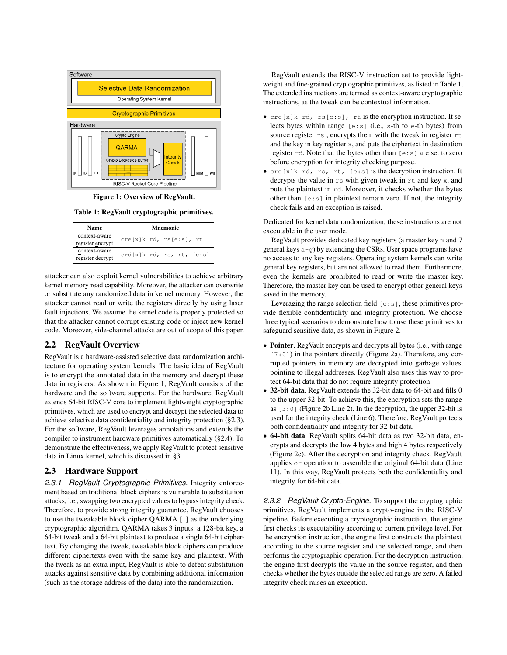

Figure 1: Overview of RegVault.

Table 1: RegVault cryptographic primitives.

| Name                              | <b>Mnemonic</b>           |
|-----------------------------------|---------------------------|
| context-aware<br>register encrypt | cre[x]k rd, rs[e:s], rt   |
| context-aware<br>register decrypt | crd[x]k rd, rs, rt, [e:s] |

attacker can also exploit kernel vulnerabilities to achieve arbitrary kernel memory read capability. Moreover, the attacker can overwrite or substitute any randomized data in kernel memory. However, the attacker cannot read or write the registers directly by using laser fault injections. We assume the kernel code is properly protected so that the attacker cannot corrupt existing code or inject new kernel code. Moreover, side-channel attacks are out of scope of this paper.

## 2.2 RegVault Overview

RegVault is a hardware-assisted selective data randomization architecture for operating system kernels. The basic idea of RegVault is to encrypt the annotated data in the memory and decrypt these data in registers. As shown in Figure 1, RegVault consists of the hardware and the software supports. For the hardware, RegVault extends 64-bit RISC-V core to implement lightweight cryptographic primitives, which are used to encrypt and decrypt the selected data to achieve selective data confidentiality and integrity protection (§2.3). For the software, RegVault leverages annotations and extends the compiler to instrument hardware primitives automatically (§2.4). To demonstrate the effectiveness, we apply RegVault to protect sensitive data in Linux kernel, which is discussed in §3.

## 2.3 Hardware Support

*2.3.1 RegVault Cryptographic Primitives.* Integrity enforcement based on traditional block ciphers is vulnerable to substitution attacks, i.e., swapping two encrypted values to bypass integrity check. Therefore, to provide strong integrity guarantee, RegVault chooses to use the tweakable block cipher QARMA [1] as the underlying cryptographic algorithm. QARMA takes 3 inputs: a 128-bit key, a 64-bit tweak and a 64-bit plaintext to produce a single 64-bit ciphertext. By changing the tweak, tweakable block ciphers can produce different ciphertexts even with the same key and plaintext. With the tweak as an extra input, RegVault is able to defeat substitution attacks against sensitive data by combining additional information (such as the storage address of the data) into the randomization.

RegVault extends the RISC-V instruction set to provide lightweight and fine-grained cryptographic primitives, as listed in Table 1. The extended instructions are termed as context-aware cryptographic instructions, as the tweak can be contextual information.

- cre[x]k rd, rs[e:s], rt is the encryption instruction. It selects bytes within range [e:s] (i.e., s-th to e-th bytes) from source register  $rs$ , encrypts them with the tweak in register  $rt$ and the key in key register x, and puts the ciphertext in destination register  $rd.$  Note that the bytes other than  $[e:s]$  are set to zero before encryption for integrity checking purpose.
- crd[x]k rd, rs, rt, [e:s] is the decryption instruction. It decrypts the value in  $rs$  with given tweak in  $rt$  and key x, and puts the plaintext in rd. Moreover, it checks whether the bytes other than  $[e:s]$  in plaintext remain zero. If not, the integrity check fails and an exception is raised.

Dedicated for kernel data randomization, these instructions are not executable in the user mode.

RegVault provides dedicated key registers (a master key m and 7 general keys a-g) by extending the CSRs. User space programs have no access to any key registers. Operating system kernels can write general key registers, but are not allowed to read them. Furthermore, even the kernels are prohibited to read or write the master key. Therefore, the master key can be used to encrypt other general keys saved in the memory.

Leveraging the range selection field  $[e:s]$ , these primitives provide flexible confidentiality and integrity protection. We choose three typical scenarios to demonstrate how to use these primitives to safeguard sensitive data, as shown in Figure 2.

- Pointer. RegVault encrypts and decrypts all bytes (i.e., with range [7:0]) in the pointers directly (Figure 2a). Therefore, any corrupted pointers in memory are decrypted into garbage values, pointing to illegal addresses. RegVault also uses this way to protect 64-bit data that do not require integrity protection.
- 32-bit data. RegVault extends the 32-bit data to 64-bit and fills 0 to the upper 32-bit. To achieve this, the encryption sets the range as  $[3:0]$  (Figure 2b Line 2). In the decryption, the upper 32-bit is used for the integrity check (Line 6). Therefore, RegVault protects both confidentiality and integrity for 32-bit data.
- 64-bit data. RegVault splits 64-bit data as two 32-bit data, encrypts and decrypts the low 4 bytes and high 4 bytes respectively (Figure 2c). After the decryption and integrity check, RegVault applies or operation to assemble the original 64-bit data (Line 11). In this way, RegVault protects both the confidentiality and integrity for 64-bit data.

*2.3.2 RegVault Crypto-Engine.* To support the cryptographic primitives, RegVault implements a crypto-engine in the RISC-V pipeline. Before executing a cryptographic instruction, the engine first checks its executability according to current privilege level. For the encryption instruction, the engine first constructs the plaintext according to the source register and the selected range, and then performs the cryptographic operation. For the decryption instruction, the engine first decrypts the value in the source register, and then checks whether the bytes outside the selected range are zero. A failed integrity check raises an exception.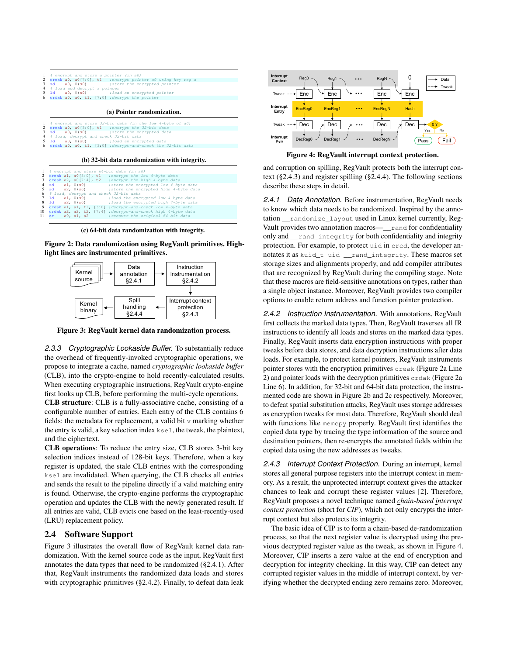| $1$ # encrypt and store a pointer (in a0)                    |                                |  |                                                                                                                    |  |  |  |  |
|--------------------------------------------------------------|--------------------------------|--|--------------------------------------------------------------------------------------------------------------------|--|--|--|--|
| 2 creak a0, a0[7:0], t1 ; encrypt pointer a0 using key reg a |                                |  |                                                                                                                    |  |  |  |  |
|                                                              |                                |  | 3 sd a0, 0(s0) ; store the encrypted pointer                                                                       |  |  |  |  |
|                                                              | 4 # load and decrypt a pointer |  |                                                                                                                    |  |  |  |  |
|                                                              |                                |  | 5 ld a0, 0(s0) ; load an encrypted pointer                                                                         |  |  |  |  |
| 6 $crdak$ a0, a0, t1, [7:0] ; decrypt the pointer            |                                |  |                                                                                                                    |  |  |  |  |
|                                                              |                                |  |                                                                                                                    |  |  |  |  |
|                                                              |                                |  |                                                                                                                    |  |  |  |  |
|                                                              |                                |  | (a) Pointer randomization.                                                                                         |  |  |  |  |
|                                                              |                                |  |                                                                                                                    |  |  |  |  |
|                                                              |                                |  |                                                                                                                    |  |  |  |  |
|                                                              |                                |  |                                                                                                                    |  |  |  |  |
|                                                              |                                |  | $1$ # encrypt and store 32-bit data (in the low 4-byte of a0)<br>2 creak a0, a0[3:0], t1 ; encrypt the 32-bit data |  |  |  |  |

|  |  |  | 3 sd a0, 0(s0) ; store the encrypted data                       |  |  |  |  |
|--|--|--|-----------------------------------------------------------------|--|--|--|--|
|  |  |  | 4 # load, decrypt and check 32-bit data                         |  |  |  |  |
|  |  |  | 5 ld a0, 0(s0) ; load an encrypted data                         |  |  |  |  |
|  |  |  | 6 crdak a0, a0, t1, $[3:0]$ ; decrypt-and-check the 32-bit data |  |  |  |  |
|  |  |  |                                                                 |  |  |  |  |
|  |  |  |                                                                 |  |  |  |  |

#### (b) 32-bit data randomization with integrity.

|                  |                                         | $1$ # encrypt and store 64-bit data (in a0)                     |
|------------------|-----------------------------------------|-----------------------------------------------------------------|
|                  |                                         | 2 creak al, a0[3:0], tl ; encrypt the low 4-byte data           |
|                  |                                         | 3 creak a2, a0[7:4], t2 ; encrypt the high 4-byte data          |
| 4 sd al, $0(s0)$ |                                         | ; store the encrypted low 4-byte data                           |
|                  |                                         | 5 sd a2, 8(s0) ; store the encrypted high 4-byte data           |
|                  | 6 # load, decrypt and check 32-bit data |                                                                 |
|                  |                                         | 7 1d al, 0(s0) ; load the encrypted low 4-byte data             |
| 8 1d a2, 8(s0)   |                                         | ;load the encrypted high 4-byte data                            |
|                  |                                         | 9 crdak al, al, tl, [3:0] ; decrypt-and-check low 4-byte data   |
|                  |                                         | 10 crdak a2, a2, t2, [7:4] ; decrypt-and-check high 4-byte data |
|                  |                                         | 11 or a0, a1, a2 ; recover the original 64-bit data             |
|                  |                                         |                                                                 |

(c) 64-bit data randomization with integrity.

Figure 2: Data randomization using RegVault primitives. Highlight lines are instrumented primitives.



Figure 3: RegVault kernel data randomization process.

*2.3.3 Cryptographic Lookaside Buffer.* To substantially reduce the overhead of frequently-invoked cryptographic operations, we propose to integrate a cache, named *cryptographic lookaside buffer* (CLB), into the crypto-engine to hold recently-calculated results. When executing cryptographic instructions, RegVault crypto-engine first looks up CLB, before performing the multi-cycle operations.

CLB structure: CLB is a fully-associative cache, consisting of a configurable number of entries. Each entry of the CLB contains 6 fields: the metadata for replacement, a valid bit  $\nu$  marking whether the entry is valid, a key selection index ksel, the tweak, the plaintext, and the ciphertext.

CLB operations: To reduce the entry size, CLB stores 3-bit key selection indices instead of 128-bit keys. Therefore, when a key register is updated, the stale CLB entries with the corresponding ksel are invalidated. When querying, the CLB checks all entries and sends the result to the pipeline directly if a valid matching entry is found. Otherwise, the crypto-engine performs the cryptographic operation and updates the CLB with the newly generated result. If all entries are valid, CLB evicts one based on the least-recently-used (LRU) replacement policy.

#### 2.4 Software Support

Figure 3 illustrates the overall flow of RegVault kernel data randomization. With the kernel source code as the input, RegVault first annotates the data types that need to be randomized (§2.4.1). After that, RegVault instruments the randomized data loads and stores with cryptographic primitives (§2.4.2). Finally, to defeat data leak



Figure 4: RegVault interrupt context protection.

and corruption on spilling, RegVault protects both the interrupt context (§2.4.3) and register spilling (§2.4.4). The following sections describe these steps in detail.

*2.4.1 Data Annotation.* Before instrumentation, RegVault needs to know which data needs to be randomized. Inspired by the annotation \_\_randomize\_layout used in Linux kernel currently, Reg-Vault provides two annotation macros—\_\_rand for confidentiality only and \_\_rand\_integrity for both confidentiality and integrity protection. For example, to protect uid in cred, the developer annotates it as kuid\_t uid \_\_rand\_integrity. These macros set storage sizes and alignments properly, and add compiler attributes that are recognized by RegVault during the compiling stage. Note that these macros are field-sensitive annotations on types, rather than a single object instance. Moreover, RegVault provides two compiler options to enable return address and function pointer protection.

*2.4.2 Instruction Instrumentation.* With annotations, RegVault first collects the marked data types. Then, RegVault traverses all IR instructions to identify all loads and stores on the marked data types. Finally, RegVault inserts data encryption instructions with proper tweaks before data stores, and data decryption instructions after data loads. For example, to protect kernel pointers, RegVault instruments pointer stores with the encryption primitives creak (Figure 2a Line 2) and pointer loads with the decryption primitives crdak (Figure 2a Line 6). In addition, for 32-bit and 64-bit data protection, the instrumented code are shown in Figure 2b and 2c respectively. Moreover, to defeat spatial substitution attacks, RegVault uses storage addresses as encryption tweaks for most data. Therefore, RegVault should deal with functions like memcpy properly. RegVault first identifies the copied data type by tracing the type information of the source and destination pointers, then re-encrypts the annotated fields within the copied data using the new addresses as tweaks.

*2.4.3 Interrupt Context Protection.* During an interrupt, kernel stores all general purpose registers into the interrupt context in memory. As a result, the unprotected interrupt context gives the attacker chances to leak and corrupt these register values [2]. Therefore, RegVault proposes a novel technique named *chain-based interrupt context protection* (short for *CIP*), which not only encrypts the interrupt context but also protects its integrity.

The basic idea of CIP is to form a chain-based de-randomization process, so that the next register value is decrypted using the previous decrypted register value as the tweak, as shown in Figure 4. Moreover, CIP inserts a zero value at the end of encryption and decryption for integrity checking. In this way, CIP can detect any corrupted register values in the middle of interrupt context, by verifying whether the decrypted ending zero remains zero. Moreover,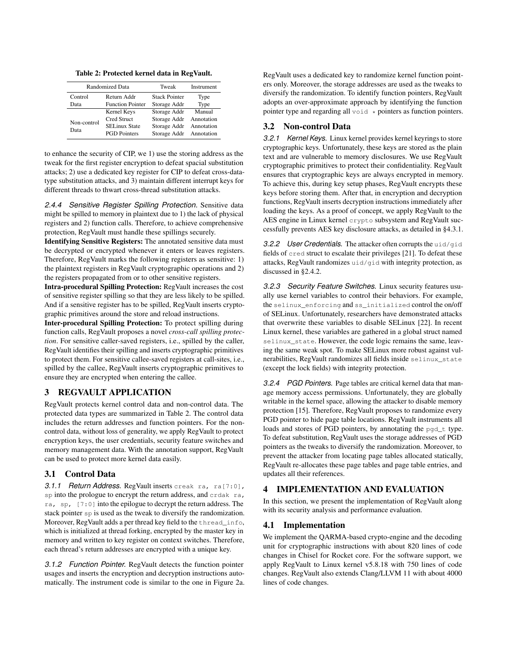Table 2: Protected kernel data in RegVault.

|                        | <b>Randomized Data</b>  | Tweak                | Instrument |  |
|------------------------|-------------------------|----------------------|------------|--|
| Control<br>Return Addr |                         | <b>Stack Pointer</b> | Type       |  |
| Data                   | <b>Function Pointer</b> | Storage Addr         | Type       |  |
|                        | Kernel Keys             | Storage Addr         | Manual     |  |
| Non-control            | Cred Struct             | Storage Addr         | Annotation |  |
| Data                   | <b>SELinux State</b>    | Storage Addr         | Annotation |  |
|                        | <b>PGD</b> Pointers     | Storage Addr         | Annotation |  |

to enhance the security of CIP, we 1) use the storing address as the tweak for the first register encryption to defeat spacial substitution attacks; 2) use a dedicated key register for CIP to defeat cross-datatype substitution attacks, and 3) maintain different interrupt keys for different threads to thwart cross-thread substitution attacks.

*2.4.4 Sensitive Register Spilling Protection.* Sensitive data might be spilled to memory in plaintext due to 1) the lack of physical registers and 2) function calls. Therefore, to achieve comprehensive protection, RegVault must handle these spillings securely.

Identifying Sensitive Registers: The annotated sensitive data must be decrypted or encrypted whenever it enters or leaves registers. Therefore, RegVault marks the following registers as sensitive: 1) the plaintext registers in RegVault cryptographic operations and 2) the registers propagated from or to other sensitive registers.

Intra-procedural Spilling Protection: RegVault increases the cost of sensitive register spilling so that they are less likely to be spilled. And if a sensitive register has to be spilled, RegVault inserts cryptographic primitives around the store and reload instructions.

Inter-procedural Spilling Protection: To protect spilling during function calls, RegVault proposes a novel *cross-call spilling protection*. For sensitive caller-saved registers, i.e., spilled by the caller, RegVault identifies their spilling and inserts cryptographic primitives to protect them. For sensitive callee-saved registers at call-sites, i.e., spilled by the callee, RegVault inserts cryptographic primitives to ensure they are encrypted when entering the callee.

## REGVAULT APPLICATION

RegVault protects kernel control data and non-control data. The protected data types are summarized in Table 2. The control data includes the return addresses and function pointers. For the noncontrol data, without loss of generality, we apply RegVault to protect encryption keys, the user credentials, security feature switches and memory management data. With the annotation support, RegVault can be used to protect more kernel data easily.

## 3.1 Control Data

*3.1.1 Return Address.* RegVault inserts creak ra, ra[7:0], sp into the prologue to encrypt the return address, and crdak ra, ra, sp, [7:0] into the epilogue to decrypt the return address. The stack pointer sp is used as the tweak to diversify the randomization. Moreover, RegVault adds a per thread key field to the thread\_info, which is initialized at thread forking, encrypted by the master key in memory and written to key register on context switches. Therefore, each thread's return addresses are encrypted with a unique key.

*3.1.2 Function Pointer.* RegVault detects the function pointer usages and inserts the encryption and decryption instructions automatically. The instrument code is similar to the one in Figure 2a. RegVault uses a dedicated key to randomize kernel function pointers only. Moreover, the storage addresses are used as the tweaks to diversify the randomization. To identify function pointers, RegVault adopts an over-approximate approach by identifying the function pointer type and regarding all  $\text{void}$   $\star$  pointers as function pointers.

#### 3.2 Non-control Data

*3.2.1 Kernel Keys.* Linux kernel provides kernel keyrings to store cryptographic keys. Unfortunately, these keys are stored as the plain text and are vulnerable to memory disclosures. We use RegVault cryptographic primitives to protect their confidentiality. RegVault ensures that cryptographic keys are always encrypted in memory. To achieve this, during key setup phases, RegVault encrypts these keys before storing them. After that, in encryption and decryption functions, RegVault inserts decryption instructions immediately after loading the keys. As a proof of concept, we apply RegVault to the AES engine in Linux kernel crypto subsystem and RegVault successfully prevents AES key disclosure attacks, as detailed in §4.3.1.

*3.2.2 User Credentials.* The attacker often corrupts the uid/gid fields of cred struct to escalate their privileges [21]. To defeat these attacks, RegVault randomizes uid/gid with integrity protection, as discussed in §2.4.2.

*3.2.3 Security Feature Switches.* Linux security features usually use kernel variables to control their behaviors. For example, the selinux\_enforcing and ss\_initialized control the on/off of SELinux. Unfortunately, researchers have demonstrated attacks that overwrite these variables to disable SELinux [22]. In recent Linux kernel, these variables are gathered in a global struct named selinux\_state. However, the code logic remains the same, leaving the same weak spot. To make SELinux more robust against vulnerabilities, RegVault randomizes all fields inside selinux\_state (except the lock fields) with integrity protection.

*3.2.4 PGD Pointers.* Page tables are critical kernel data that manage memory access permissions. Unfortunately, they are globally writable in the kernel space, allowing the attacker to disable memory protection [15]. Therefore, RegVault proposes to randomize every PGD pointer to hide page table locations. RegVault instruments all loads and stores of PGD pointers, by annotating the pgd\_t type. To defeat substitution, RegVault uses the storage addresses of PGD pointers as the tweaks to diversify the randomization. Moreover, to prevent the attacker from locating page tables allocated statically, RegVault re-allocates these page tables and page table entries, and updates all their references.

# 4 IMPLEMENTATION AND EVALUATION

In this section, we present the implementation of RegVault along with its security analysis and performance evaluation.

## 4.1 Implementation

We implement the QARMA-based crypto-engine and the decoding unit for cryptographic instructions with about 820 lines of code changes in Chisel for Rocket core. For the software support, we apply RegVault to Linux kernel v5.8.18 with 750 lines of code changes. RegVault also extends Clang/LLVM 11 with about 4000 lines of code changes.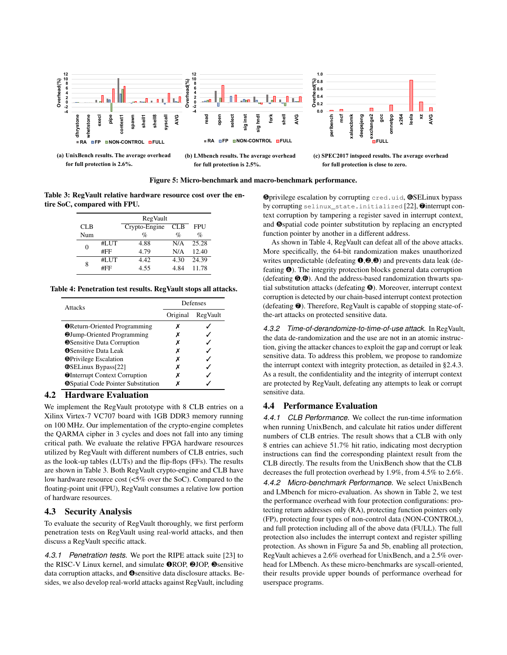

**for full protection is 2.6%.**

**for full protection is 2.5%.**





Figure 5: Micro-benchmark and macro-benchmark performance.

Table 3: RegVault relative hardware resource cost over the entire SoC, compared with FPU.

|     |      | RegVault      |            |            |  |
|-----|------|---------------|------------|------------|--|
| CLB |      | Crypto-Engine | <b>CLB</b> | <b>FPU</b> |  |
| Num |      | %             | $\%$       | $\%$       |  |
| 0   | #LUT | 4.88          | N/A        | 25.28      |  |
|     | #FF  | 4.79          | N/A        | 12.40      |  |
| 8   | #LUT | 4.42          | 4.30       | 24.39      |  |
|     | #FF  | 4.55          | 4.84       | 11.78      |  |

Table 4: Penetration test results. RegVault stops all attacks.

| <b>Attacks</b>                            | Defenses |          |  |  |
|-------------------------------------------|----------|----------|--|--|
|                                           | Original | RegVault |  |  |
| <b>O</b> Return-Oriented Programming      | x        |          |  |  |
| <b>@Jump-Oriented Programming</b>         | х        |          |  |  |
| <b>S</b> Sensitive Data Corruption        | х        |          |  |  |
| <b>OSensitive Data Leak</b>               | х        |          |  |  |
| <b>S</b> Privilege Escalation             | х        |          |  |  |
| <b>OSELinux Bypass[22]</b>                | х        |          |  |  |
| <b>OInterrupt Context Corruption</b>      | х        |          |  |  |
| <b>@Spatial Code Pointer Substitution</b> | x        |          |  |  |

# 4.2 Hardware Evaluation

We implement the RegVault prototype with 8 CLB entries on a Xilinx Virtex-7 VC707 board with 1GB DDR3 memory running on 100 MHz. Our implementation of the crypto-engine completes the QARMA cipher in 3 cycles and does not fall into any timing critical path. We evaluate the relative FPGA hardware resources utilized by RegVault with different numbers of CLB entries, such as the look-up tables (LUTs) and the flip-flops (FFs). The results are shown in Table 3. Both RegVault crypto-engine and CLB have low hardware resource cost (<5% over the SoC). Compared to the floating-point unit (FPU), RegVault consumes a relative low portion of hardware resources.

# 4.3 Security Analysis

To evaluate the security of RegVault thoroughly, we first perform penetration tests on RegVault using real-world attacks, and then discuss a RegVault specific attack.

*4.3.1 Penetration tests.* We port the RIPE attack suite [23] to the RISC-V Linux kernel, and simulate ❶ROP, ❷JOP, ❸sensitive data corruption attacks, and ❹sensitive data disclosure attacks. Besides, we also develop real-world attacks against RegVault, including

❺privilege escalation by corrupting cred.uid, ❻SELinux bypass by corrupting selinux\_state.initialized [22], ❼interrupt context corruption by tampering a register saved in interrupt context, and ❽spatial code pointer substitution by replacing an encrypted function pointer by another in a different address.

As shown in Table 4, RegVault can defeat all of the above attacks. More specifically, the 64-bit randomization makes unauthorized writes unpredictable (defeating  $\mathbf{0}, \mathbf{\Theta}, \mathbf{\Theta}$ ) and prevents data leak (defeating ❹). The integrity protection blocks general data corruption (defeating  $\Theta$ , $\Theta$ ). And the address-based randomization thwarts spatial substitution attacks (defeating ❽). Moreover, interrupt context corruption is detected by our chain-based interrupt context protection (defeating ❼). Therefore, RegVault is capable of stopping state-ofthe-art attacks on protected sensitive data.

*4.3.2 Time-of-derandomize-to-time-of-use attack.* In RegVault, the data de-randomization and the use are not in an atomic instruction, giving the attacker chances to exploit the gap and corrupt or leak sensitive data. To address this problem, we propose to randomize the interrupt context with integrity protection, as detailed in §2.4.3. As a result, the confidentiality and the integrity of interrupt context are protected by RegVault, defeating any attempts to leak or corrupt sensitive data.

# 4.4 Performance Evaluation

*4.4.1 CLB Performance.* We collect the run-time information when running UnixBench, and calculate hit ratios under different numbers of CLB entries. The result shows that a CLB with only 8 entries can achieve 51.7% hit ratio, indicating most decryption instructions can find the corresponding plaintext result from the CLB directly. The results from the UnixBench show that the CLB decreases the full protection overhead by 1.9%, from 4.5% to 2.6%. *4.4.2 Micro-benchmark Performance.* We select UnixBench and LMbench for micro-evaluation. As shown in Table 2, we test the performance overhead with four protection configurations: protecting return addresses only (RA), protecting function pointers only (FP), protecting four types of non-control data (NON-CONTROL), and full protection including all of the above data (FULL). The full protection also includes the interrupt context and register spilling protection. As shown in Figure 5a and 5b, enabling all protection, RegVault achieves a 2.6% overhead for UnixBench, and a 2.5% overhead for LMbench. As these micro-benchmarks are syscall-oriented, their results provide upper bounds of performance overhead for userspace programs.